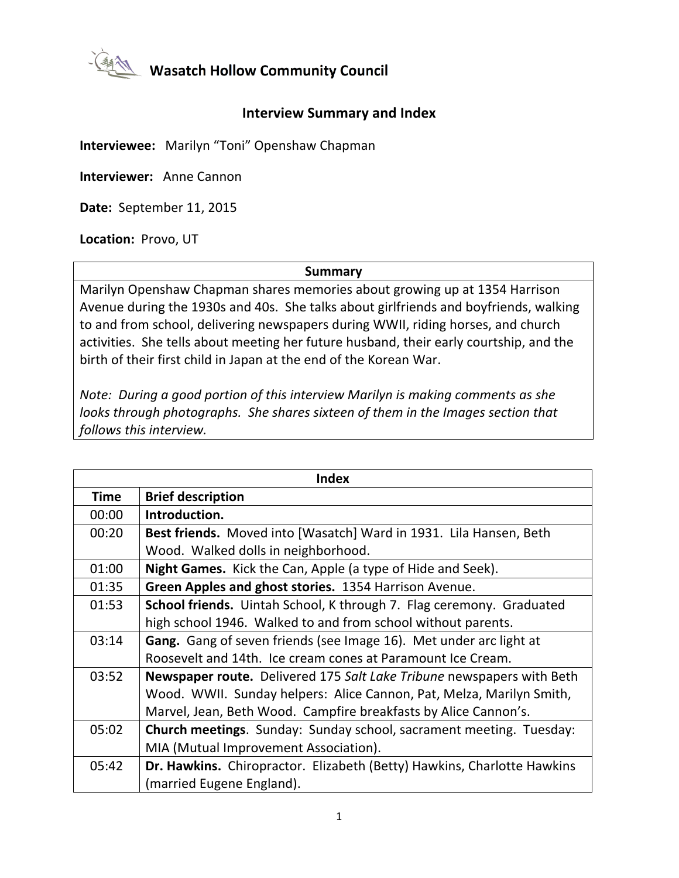

**Masatch Hollow Community Council** 

## **Interview Summary and Index**

**Interviewee:** Marilyn "Toni" Openshaw Chapman

**Interviewer: Anne Cannon** 

**Date:** September 11, 2015

Location: Provo, UT

## **Summary**

Marilyn Openshaw Chapman shares memories about growing up at 1354 Harrison Avenue during the 1930s and 40s. She talks about girlfriends and boyfriends, walking to and from school, delivering newspapers during WWII, riding horses, and church activities. She tells about meeting her future husband, their early courtship, and the birth of their first child in Japan at the end of the Korean War.

*Note: During a good portion of this interview Marilyn is making comments as she looks* through photographs. She shares sixteen of them in the Images section that follows this interview.

| <b>Index</b> |                                                                              |
|--------------|------------------------------------------------------------------------------|
| <b>Time</b>  | <b>Brief description</b>                                                     |
| 00:00        | Introduction.                                                                |
| 00:20        | Best friends. Moved into [Wasatch] Ward in 1931. Lila Hansen, Beth           |
|              | Wood. Walked dolls in neighborhood.                                          |
| 01:00        | Night Games. Kick the Can, Apple (a type of Hide and Seek).                  |
| 01:35        | Green Apples and ghost stories. 1354 Harrison Avenue.                        |
| 01:53        | School friends. Uintah School, K through 7. Flag ceremony. Graduated         |
|              | high school 1946. Walked to and from school without parents.                 |
| 03:14        | Gang. Gang of seven friends (see Image 16). Met under arc light at           |
|              | Roosevelt and 14th. Ice cream cones at Paramount Ice Cream.                  |
| 03:52        | <b>Newspaper route.</b> Delivered 175 Salt Lake Tribune newspapers with Beth |
|              | Wood. WWII. Sunday helpers: Alice Cannon, Pat, Melza, Marilyn Smith,         |
|              | Marvel, Jean, Beth Wood. Campfire breakfasts by Alice Cannon's.              |
| 05:02        | Church meetings. Sunday: Sunday school, sacrament meeting. Tuesday:          |
|              | MIA (Mutual Improvement Association).                                        |
| 05:42        | Dr. Hawkins. Chiropractor. Elizabeth (Betty) Hawkins, Charlotte Hawkins      |
|              | (married Eugene England).                                                    |